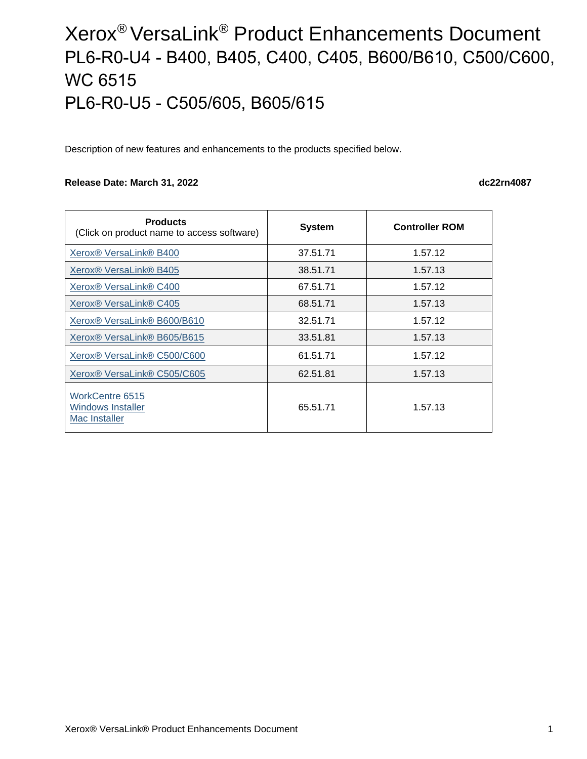# Xerox® VersaLink® Product Enhancements Document PL6-R0-U4 - B400, B405, C400, C405, B600/B610, C500/C600, WC 6515 PL6-R0-U5 - C505/605, B605/615

Description of new features and enhancements to the products specified below.

#### **Release Date: March 31, 2022 dc22rn4087**

| <b>Products</b><br>(Click on product name to access software) | <b>System</b> | <b>Controller ROM</b> |
|---------------------------------------------------------------|---------------|-----------------------|
| Xerox <sup>®</sup> VersaLink <sup>®</sup> B400                | 37.51.71      | 1.57.12               |
| Xerox <sup>®</sup> VersaLink <sup>®</sup> B405                | 38.51.71      | 1.57.13               |
| Xerox <sup>®</sup> VersaLink <sup>®</sup> C400                | 67.51.71      | 1.57.12               |
| Xerox <sup>®</sup> VersaLink <sup>®</sup> C405                | 68.51.71      | 1.57.13               |
| Xerox <sup>®</sup> VersaLink <sup>®</sup> B600/B610           | 32.51.71      | 1.57.12               |
| Xerox <sup>®</sup> VersaLink <sup>®</sup> B605/B615           | 33.51.81      | 1.57.13               |
| Xerox <sup>®</sup> VersaLink <sup>®</sup> C500/C600           | 61.51.71      | 1.57.12               |
| Xerox <sup>®</sup> VersaLink <sup>®</sup> C505/C605           | 62.51.81      | 1.57.13               |
| <b>WorkCentre 6515</b><br>Windows Installer<br>Mac Installer  | 65.51.71      | 1.57.13               |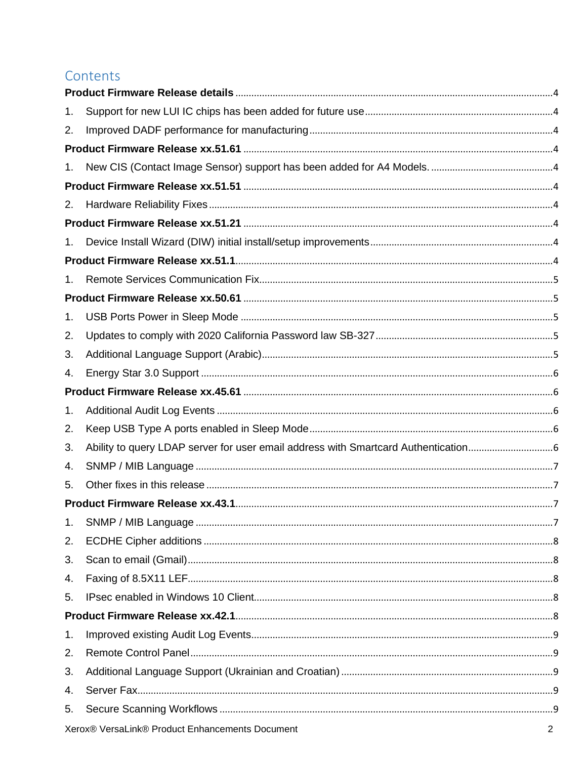### Contents

| 1.             |  |
|----------------|--|
| 2.             |  |
|                |  |
| 1.             |  |
|                |  |
| 2.             |  |
|                |  |
| 1 <sub>1</sub> |  |
|                |  |
| 1.             |  |
|                |  |
| 1.             |  |
| 2.             |  |
| 3.             |  |
| 4.             |  |
|                |  |
| 1.             |  |
| 2.             |  |
| 3.             |  |
| 4.             |  |
| 5.             |  |
|                |  |
| 1.             |  |
| 2.             |  |
| 3.             |  |
| 4.             |  |
| 5.             |  |
|                |  |
| 1.             |  |
| 2.             |  |
| 3.             |  |
| 4.             |  |
| 5.             |  |
|                |  |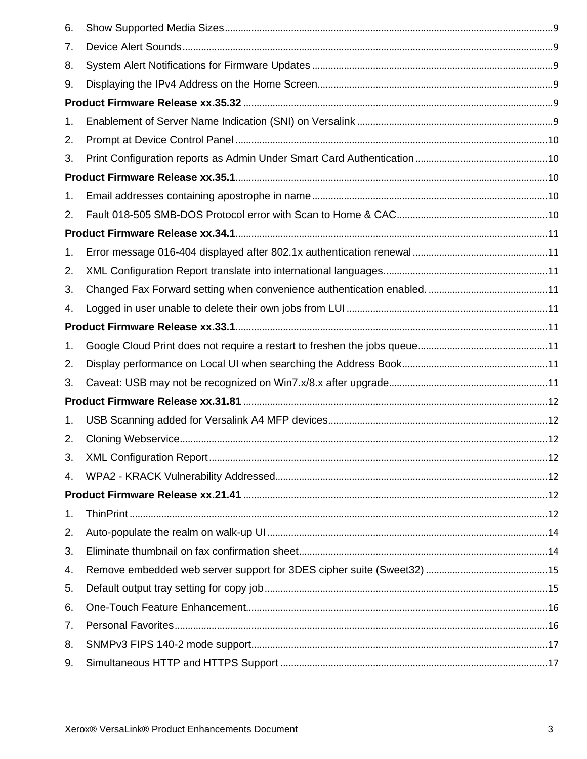| 6. |  |
|----|--|
| 7. |  |
| 8. |  |
| 9. |  |
|    |  |
| 1. |  |
| 2. |  |
| 3. |  |
|    |  |
| 1. |  |
| 2. |  |
|    |  |
| 1. |  |
| 2. |  |
| 3. |  |
| 4. |  |
|    |  |
| 1. |  |
| 2. |  |
| 3. |  |
|    |  |
| 1. |  |
| 2. |  |
| 3. |  |
| 4. |  |
|    |  |
| 1. |  |
| 2. |  |
| 3. |  |
| 4. |  |
| 5. |  |
| 6. |  |
| 7. |  |
| 8. |  |
| 9. |  |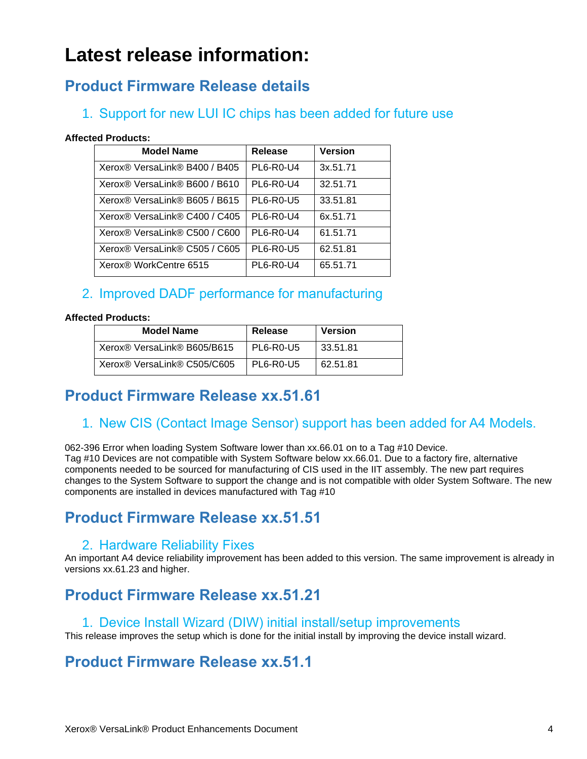# **Latest release information:**

# <span id="page-3-0"></span>**Product Firmware Release details**

### <span id="page-3-1"></span>1. Support for new LUI IC chips has been added for future use

#### **Affected Products:**

| <b>Model Name</b>             | Release          | <b>Version</b> |
|-------------------------------|------------------|----------------|
| Xerox® VersaLink® B400 / B405 | <b>PL6-R0-U4</b> | 3x.51.71       |
| Xerox® VersaLink® B600 / B610 | <b>PL6-R0-U4</b> | 32.51.71       |
| Xerox® VersaLink® B605 / B615 | <b>PL6-R0-U5</b> | 33.51.81       |
| Xerox® VersaLink® C400 / C405 | <b>PL6-R0-U4</b> | 6x.51.71       |
| Xerox® VersaLink® C500 / C600 | <b>PL6-R0-U4</b> | 61.51.71       |
| Xerox® VersaLink® C505 / C605 | <b>PL6-R0-U5</b> | 62.51.81       |
| Xerox® WorkCentre 6515        | PL6-R0-U4        | 65.51.71       |

### <span id="page-3-2"></span>2. Improved DADF performance for manufacturing

#### **Affected Products:**

| <b>Model Name</b>           | Release          | Version  |
|-----------------------------|------------------|----------|
| Xerox® VersaLink® B605/B615 | <b>PL6-R0-U5</b> | 33.51.81 |
| Xerox® VersaLink® C505/C605 | PL6-R0-U5        | 62.51.81 |

# <span id="page-3-3"></span>**Product Firmware Release xx.51.61**

### <span id="page-3-4"></span>1. New CIS (Contact Image Sensor) support has been added for A4 Models.

062-396 Error when loading System Software lower than xx.66.01 on to a Tag #10 Device. Tag #10 Devices are not compatible with System Software below xx.66.01. Due to a factory fire, alternative components needed to be sourced for manufacturing of CIS used in the IIT assembly. The new part requires changes to the System Software to support the change and is not compatible with older System Software. The new components are installed in devices manufactured with Tag #10

# <span id="page-3-5"></span>**Product Firmware Release xx.51.51**

### 2. Hardware Reliability Fixes

<span id="page-3-6"></span>An important A4 device reliability improvement has been added to this version. The same improvement is already in versions xx.61.23 and higher.

# <span id="page-3-7"></span>**Product Firmware Release xx.51.21**

#### <span id="page-3-8"></span>1. Device Install Wizard (DIW) initial install/setup improvements

This release improves the setup which is done for the initial install by improving the device install wizard.

# <span id="page-3-9"></span>**Product Firmware Release xx.51.1**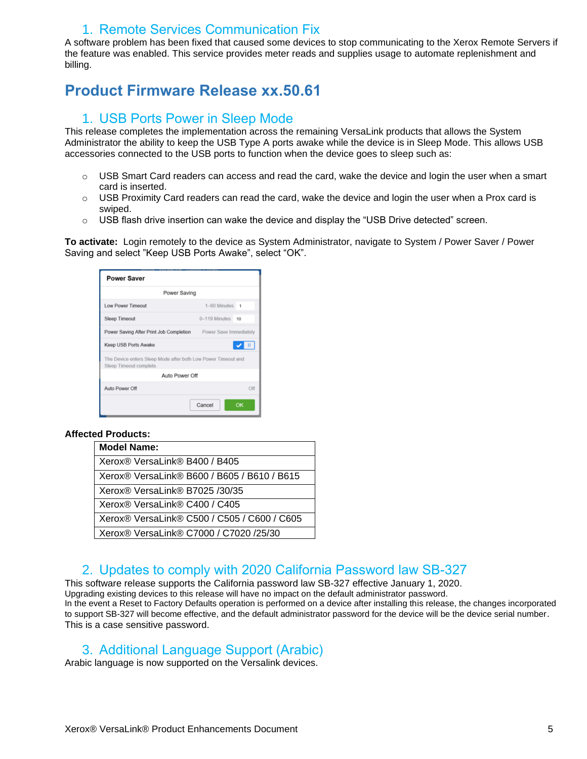#### 1. Remote Services Communication Fix

<span id="page-4-0"></span>A software problem has been fixed that caused some devices to stop communicating to the Xerox Remote Servers if the feature was enabled. This service provides meter reads and supplies usage to automate replenishment and billing.

# <span id="page-4-2"></span><span id="page-4-1"></span>**Product Firmware Release xx.50.61**

#### 1. USB Ports Power in Sleep Mode

This release completes the implementation across the remaining VersaLink products that allows the System Administrator the ability to keep the USB Type A ports awake while the device is in Sleep Mode. This allows USB accessories connected to the USB ports to function when the device goes to sleep such as:

- $\circ$  USB Smart Card readers can access and read the card, wake the device and login the user when a smart card is inserted.
- $\circ$  USB Proximity Card readers can read the card, wake the device and login the user when a Prox card is swiped.
- $\circ$  USB flash drive insertion can wake the device and display the "USB Drive detected" screen.

**To activate:** Login remotely to the device as System Administrator, navigate to System / Power Saver / Power Saving and select "Keep USB Ports Awake", select "OK".

| <b>Power Saver</b>                                                                       |                    |     |  |
|------------------------------------------------------------------------------------------|--------------------|-----|--|
| Power Saving                                                                             |                    |     |  |
| Low Power Timeout                                                                        | $1-60$ Minutes $1$ |     |  |
| Sleep Timeout                                                                            | 0-119 Minutes 10   |     |  |
| Power Saving After Print Job Completion Power Save Immediately                           |                    |     |  |
| Keep USB Ports Awake                                                                     |                    |     |  |
| The Device enters Sleep Mode after both Low Power Timeout and<br>Sleep Timeout complete. |                    |     |  |
| Auto Power Off                                                                           |                    |     |  |
| Auto Power Off                                                                           |                    | Off |  |
|                                                                                          | OK<br>Cancel       |     |  |

#### **Affected Products:**

| <b>Model Name:</b>                                             |
|----------------------------------------------------------------|
| Xerox <sup>®</sup> VersaLink <sup>®</sup> B400 / B405          |
| Xerox® VersaLink® B600 / B605 / B610 / B615                    |
| Xerox® VersaLink® B7025 /30/35                                 |
| Xerox <sup>®</sup> VersaLink <sup>®</sup> C400 / C405          |
| Xerox® VersaLink® C500 / C505 / C600 / C605                    |
| Xerox <sup>®</sup> VersaLink <sup>®</sup> C7000 / C7020 /25/30 |

#### 2. Updates to comply with 2020 California Password law SB-327

<span id="page-4-3"></span>This software release supports the California password law SB-327 effective January 1, 2020. Upgrading existing devices to this release will have no impact on the default administrator password. In the event a Reset to Factory Defaults operation is performed on a device after installing this release, the changes incorporated to support SB-327 will become effective, and the default administrator password for the device will be the device serial number. This is a case sensitive password.

#### <span id="page-4-4"></span>3. Additional Language Support (Arabic)

Arabic language is now supported on the Versalink devices.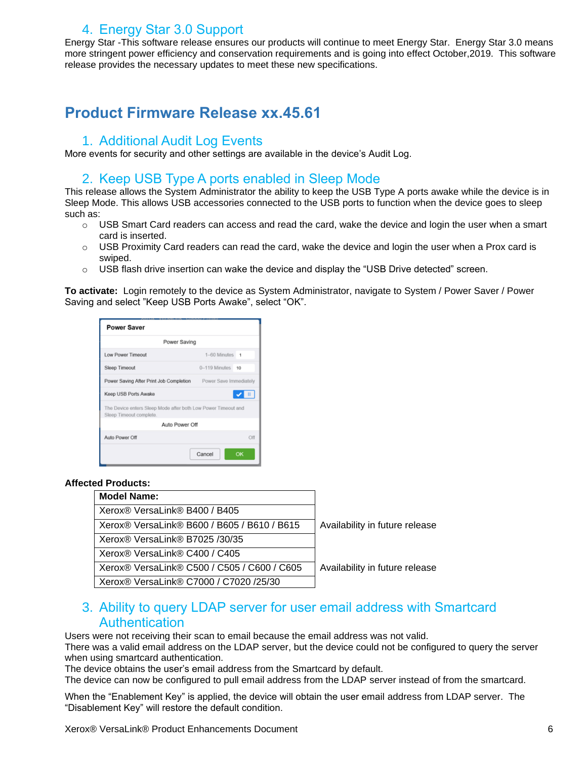### 4. Energy Star 3.0 Support

<span id="page-5-0"></span>Energy Star -This software release ensures our products will continue to meet Energy Star. Energy Star 3.0 means more stringent power efficiency and conservation requirements and is going into effect October,2019. This software release provides the necessary updates to meet these new specifications.

### <span id="page-5-2"></span><span id="page-5-1"></span>**Product Firmware Release xx.45.61**

#### 1. Additional Audit Log Events

<span id="page-5-3"></span>More events for security and other settings are available in the device's Audit Log.

#### 2. Keep USB Type A ports enabled in Sleep Mode

This release allows the System Administrator the ability to keep the USB Type A ports awake while the device is in Sleep Mode. This allows USB accessories connected to the USB ports to function when the device goes to sleep such as:

- $\circ$  USB Smart Card readers can access and read the card, wake the device and login the user when a smart card is inserted.
- o USB Proximity Card readers can read the card, wake the device and login the user when a Prox card is swiped.
- o USB flash drive insertion can wake the device and display the "USB Drive detected" screen.

**To activate:** Login remotely to the device as System Administrator, navigate to System / Power Saver / Power Saving and select "Keep USB Ports Awake", select "OK".

| <b>Power Saver</b>                                                                       |                    |  |  |
|------------------------------------------------------------------------------------------|--------------------|--|--|
| Power Saving                                                                             |                    |  |  |
| Low Power Timeout                                                                        | $1-60$ Minutes $1$ |  |  |
| Sleep Timeout                                                                            | 0-119 Minutes 10   |  |  |
| Power Saving After Print Job Completion Power Save Immediately                           |                    |  |  |
| Keep USB Ports Awake                                                                     |                    |  |  |
| The Device enters Sleep Mode after both Low Power Timeout and<br>Sleep Timeout complete. |                    |  |  |
| Auto Power Off                                                                           |                    |  |  |
| Auto Power Off                                                                           | Off                |  |  |
|                                                                                          | Cancel<br>OK       |  |  |

#### **Affected Products:**

| <b>Model Name:</b>                          |                                |
|---------------------------------------------|--------------------------------|
| Xerox® VersaLink® B400 / B405               |                                |
| Xerox® VersaLink® B600 / B605 / B610 / B615 | Availability in future release |
| Xerox® VersaLink® B7025 /30/35              |                                |
| Xerox® VersaLink® C400 / C405               |                                |
| Xerox® VersaLink® C500 / C505 / C600 / C605 | Availability in future release |
| Xerox® VersaLink® C7000 / C7020 /25/30      |                                |

#### <span id="page-5-4"></span>3. Ability to query LDAP server for user email address with Smartcard **Authentication**

Users were not receiving their scan to email because the email address was not valid.

There was a valid email address on the LDAP server, but the device could not be configured to query the server when using smartcard authentication.

The device obtains the user's email address from the Smartcard by default.

The device can now be configured to pull email address from the LDAP server instead of from the smartcard.

When the "Enablement Key" is applied, the device will obtain the user email address from LDAP server. The "Disablement Key" will restore the default condition.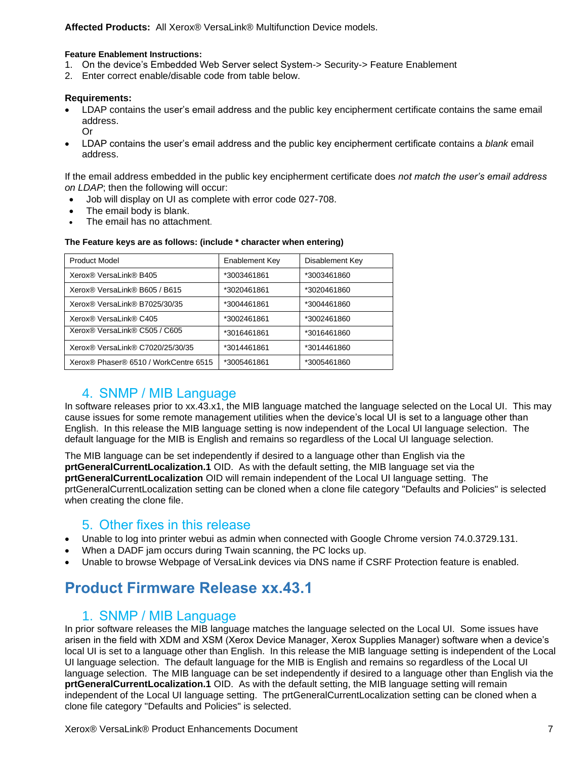**Affected Products:** All Xerox® VersaLink® Multifunction Device models.

#### **Feature Enablement Instructions:**

- 1. On the device's Embedded Web Server select System-> Security-> Feature Enablement
- 2. Enter correct enable/disable code from table below.

#### **Requirements:**

- LDAP contains the user's email address and the public key encipherment certificate contains the same email address. Or
- LDAP contains the user's email address and the public key encipherment certificate contains a *blank* email address.

If the email address embedded in the public key encipherment certificate does *not match the user's email address on LDAP*; then the following will occur:

- Job will display on UI as complete with error code 027-708.
- The email body is blank.
- The email has no attachment.

| <b>Product Model</b>                                  | Enablement Key | Disablement Key |
|-------------------------------------------------------|----------------|-----------------|
| Xerox® VersaLink® B405                                | *3003461861    | *3003461860     |
| Xerox® VersaLink® B605 / B615                         | *3020461861    | *3020461860     |
| Xerox <sup>®</sup> VersaLink <sup>®</sup> B7025/30/35 | *3004461861    | *3004461860     |
| Xerox® VersaLink® C405                                | *3002461861    | *3002461860     |
| Xerox® VersaLink® C505 / C605                         | *3016461861    | *3016461860     |
| Xerox® VersaLink® C7020/25/30/35                      | *3014461861    | *3014461860     |
| Xerox® Phaser® 6510 / WorkCentre 6515                 | *3005461861    | *3005461860     |

#### **The Feature keys are as follows: (include \* character when entering)**

#### 4. SNMP / MIB Language

<span id="page-6-0"></span>In software releases prior to xx.43.x1, the MIB language matched the language selected on the Local UI. This may cause issues for some remote management utilities when the device's local UI is set to a language other than English. In this release the MIB language setting is now independent of the Local UI language selection. The default language for the MIB is English and remains so regardless of the Local UI language selection.

The MIB language can be set independently if desired to a language other than English via the **prtGeneralCurrentLocalization.1** OID. As with the default setting, the MIB language set via the **prtGeneralCurrentLocalization** OID will remain independent of the Local UI language setting. The prtGeneralCurrentLocalization setting can be cloned when a clone file category "Defaults and Policies" is selected when creating the clone file.

#### <span id="page-6-1"></span>5. Other fixes in this release

- Unable to log into printer webui as admin when connected with Google Chrome version 74.0.3729.131.
- When a DADF jam occurs during Twain scanning, the PC locks up.
- <span id="page-6-2"></span>• Unable to browse Webpage of VersaLink devices via DNS name if CSRF Protection feature is enabled.

### <span id="page-6-3"></span>**Product Firmware Release xx.43.1**

#### 1. SNMP / MIB Language

In prior software releases the MIB language matches the language selected on the Local UI. Some issues have arisen in the field with XDM and XSM (Xerox Device Manager, Xerox Supplies Manager) software when a device's local UI is set to a language other than English. In this release the MIB language setting is independent of the Local UI language selection. The default language for the MIB is English and remains so regardless of the Local UI language selection. The MIB language can be set independently if desired to a language other than English via the **prtGeneralCurrentLocalization.1** OID. As with the default setting, the MIB language setting will remain independent of the Local UI language setting. The prtGeneralCurrentLocalization setting can be cloned when a clone file category "Defaults and Policies" is selected.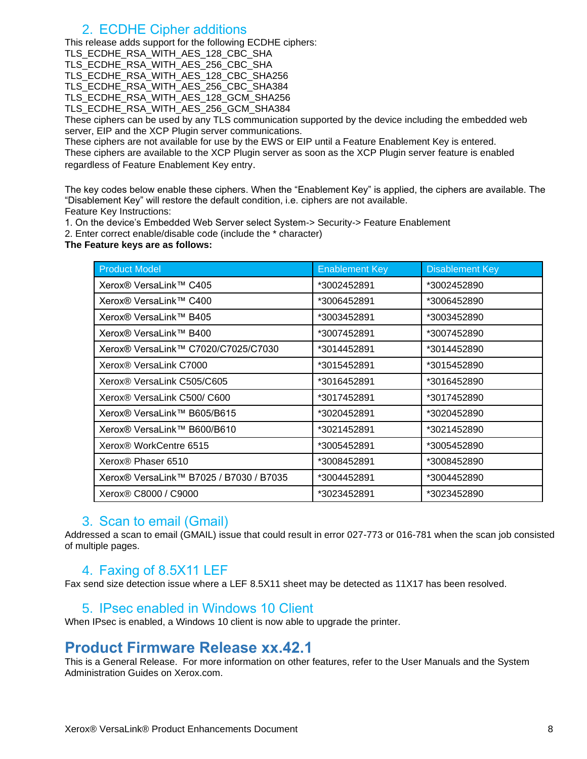#### 2. ECDHE Cipher additions

<span id="page-7-0"></span>This release adds support for the following ECDHE ciphers:

TLS\_ECDHE\_RSA\_WITH\_AES\_128\_CBC\_SHA

TLS\_ECDHE\_RSA\_WITH\_AES\_256\_CBC\_SHA

TLS\_ECDHE\_RSA\_WITH\_AES\_128\_CBC\_SHA256

TLS\_ECDHE\_RSA\_WITH\_AES\_256\_CBC\_SHA384

TLS\_ECDHE\_RSA\_WITH\_AES\_128\_GCM\_SHA256

TLS\_ECDHE\_RSA\_WITH\_AES\_256\_GCM\_SHA384

These ciphers can be used by any TLS communication supported by the device including the embedded web server, EIP and the XCP Plugin server communications.

These ciphers are not available for use by the EWS or EIP until a Feature Enablement Key is entered. These ciphers are available to the XCP Plugin server as soon as the XCP Plugin server feature is enabled regardless of Feature Enablement Key entry.

The key codes below enable these ciphers. When the "Enablement Key" is applied, the ciphers are available. The "Disablement Key" will restore the default condition, i.e. ciphers are not available. Feature Key Instructions:

1. On the device's Embedded Web Server select System-> Security-> Feature Enablement

2. Enter correct enable/disable code (include the \* character)

**The Feature keys are as follows:**

| <b>Product Model</b>                    | <b>Enablement Key</b> | <b>Disablement Key</b> |
|-----------------------------------------|-----------------------|------------------------|
| Xerox® VersaLink™ C405                  | *3002452891           | *3002452890            |
| Xerox® VersaLink™ C400                  | *3006452891           | *3006452890            |
| Xerox® VersaLink™ B405                  | *3003452891           | *3003452890            |
| Xerox® VersaLink™ B400                  | *3007452891           | *3007452890            |
| Xerox® VersaLink™ C7020/C7025/C7030     | *3014452891           | *3014452890            |
| Xerox <sup>®</sup> VersaLink C7000      | *3015452891           | *3015452890            |
| Xerox® VersaLink C505/C605              | *3016452891           | *3016452890            |
| Xerox® VersaLink C500/ C600             | *3017452891           | *3017452890            |
| Xerox® VersaLink™ B605/B615             | *3020452891           | *3020452890            |
| Xerox® VersaLink™ B600/B610             | *3021452891           | *3021452890            |
| Xerox <sup>®</sup> WorkCentre 6515      | *3005452891           | *3005452890            |
| Xerox® Phaser 6510                      | *3008452891           | *3008452890            |
| Xerox® VersaLink™ B7025 / B7030 / B7035 | *3004452891           | *3004452890            |
| Xerox <sup>®</sup> C8000 / C9000        | *3023452891           | *3023452890            |

#### <span id="page-7-1"></span>3. Scan to email (Gmail)

<span id="page-7-2"></span>Addressed a scan to email (GMAIL) issue that could result in error 027-773 or 016-781 when the scan job consisted of multiple pages.

#### 4. Faxing of 8.5X11 LEF

<span id="page-7-3"></span>Fax send size detection issue where a LEF 8.5X11 sheet may be detected as 11X17 has been resolved.

#### 5. IPsec enabled in Windows 10 Client

<span id="page-7-4"></span>When IPsec is enabled, a Windows 10 client is now able to upgrade the printer.

### **Product Firmware Release xx.42.1**

This is a General Release. For more information on other features, refer to the User Manuals and the System Administration Guides on Xerox.com.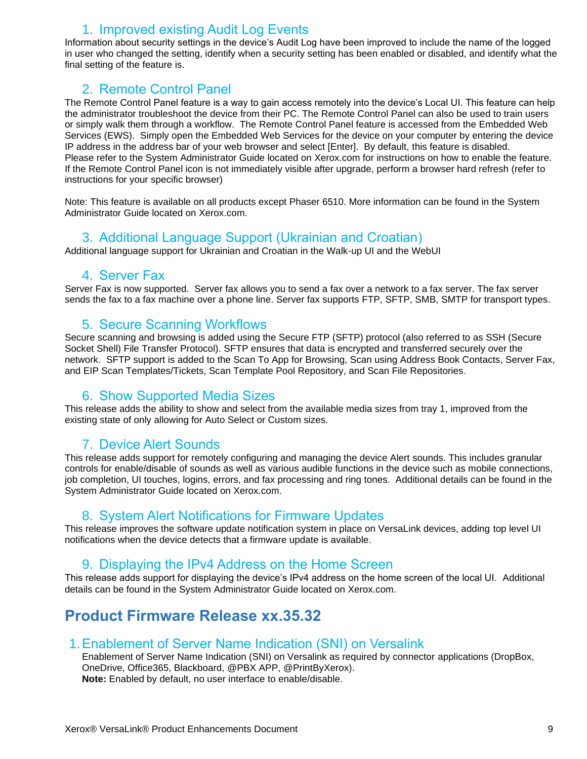### 1. Improved existing Audit Log Events

<span id="page-8-0"></span>Information about security settings in the device's Audit Log have been improved to include the name of the logged in user who changed the setting, identify when a security setting has been enabled or disabled, and identify what the final setting of the feature is.

### <span id="page-8-1"></span>2. Remote Control Panel

The Remote Control Panel feature is a way to gain access remotely into the device's Local UI. This feature can help the administrator troubleshoot the device from their PC. The Remote Control Panel can also be used to train users or simply walk them through a workflow. The Remote Control Panel feature is accessed from the Embedded Web Services (EWS). Simply open the Embedded Web Services for the device on your computer by entering the device IP address in the address bar of your web browser and select [Enter]. By default, this feature is disabled. Please refer to the System Administrator Guide located on Xerox.com for instructions on how to enable the feature. If the Remote Control Panel icon is not immediately visible after upgrade, perform a browser hard refresh (refer to instructions for your specific browser)

<span id="page-8-2"></span>Note: This feature is available on all products except Phaser 6510. More information can be found in the System Administrator Guide located on Xerox.com.

#### 3. Additional Language Support (Ukrainian and Croatian)

<span id="page-8-3"></span>Additional language support for Ukrainian and Croatian in the Walk-up UI and the WebUI

#### 4. Server Fax

<span id="page-8-4"></span>Server Fax is now supported. Server fax allows you to send a fax over a network to a fax server. The fax server sends the fax to a fax machine over a phone line. Server fax supports FTP, SFTP, SMB, SMTP for transport types.

#### 5. Secure Scanning Workflows

Secure scanning and browsing is added using the Secure FTP (SFTP) protocol (also referred to as SSH (Secure Socket Shell) File Transfer Protocol). SFTP ensures that data is encrypted and transferred securely over the network. SFTP support is added to the Scan To App for Browsing, Scan using Address Book Contacts, Server Fax, and EIP Scan Templates/Tickets, Scan Template Pool Repository, and Scan File Repositories.

#### <span id="page-8-5"></span>6. Show Supported Media Sizes

<span id="page-8-6"></span>This release adds the ability to show and select from the available media sizes from tray 1, improved from the existing state of only allowing for Auto Select or Custom sizes.

#### 7. Device Alert Sounds

This release adds support for remotely configuring and managing the device Alert sounds. This includes granular controls for enable/disable of sounds as well as various audible functions in the device such as mobile connections, job completion, UI touches, logins, errors, and fax processing and ring tones. Additional details can be found in the System Administrator Guide located on Xerox.com.

#### <span id="page-8-7"></span>8. System Alert Notifications for Firmware Updates

<span id="page-8-8"></span>This release improves the software update notification system in place on VersaLink devices, adding top level UI notifications when the device detects that a firmware update is available.

#### 9. Displaying the IPv4 Address on the Home Screen

This release adds support for displaying the device's IPv4 address on the home screen of the local UI. Additional details can be found in the System Administrator Guide located on Xerox.com.

### <span id="page-8-9"></span>**Product Firmware Release xx.35.32**

#### <span id="page-8-10"></span>1.Enablement of Server Name Indication (SNI) on Versalink

Enablement of Server Name Indication (SNI) on Versalink as required by connector applications (DropBox, OneDrive, Office365, Blackboard, @PBX APP, @PrintByXerox). **Note:** Enabled by default, no user interface to enable/disable.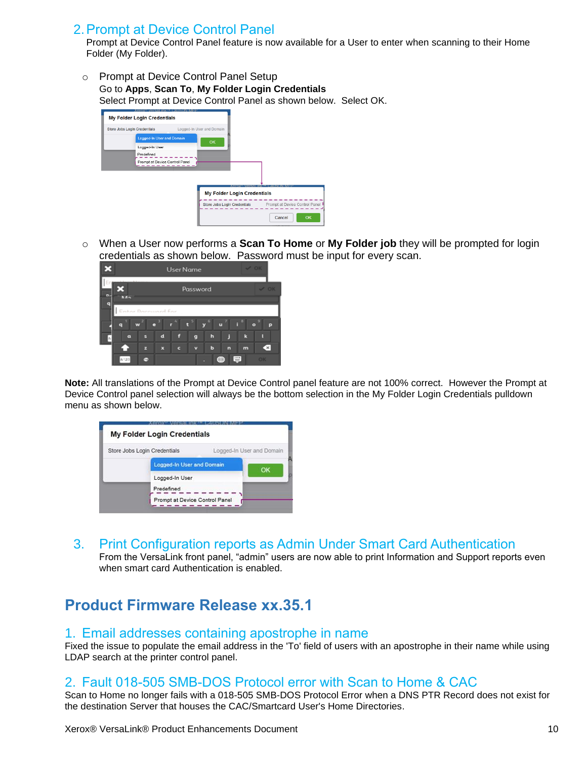#### <span id="page-9-0"></span>2.Prompt at Device Control Panel

Prompt at Device Control Panel feature is now available for a User to enter when scanning to their Home Folder (My Folder).

o Prompt at Device Control Panel Setup Go to **Apps**, **Scan To**, **My Folder Login Credentials** Select Prompt at Device Control Panel as shown below. Select OK.

| ומי<br><b>My Folder Login Credentials</b> |                                    |                                |
|-------------------------------------------|------------------------------------|--------------------------------|
| <b>Store Jobs Login Credentials</b>       | Logged-In User and Domain          |                                |
| <b>Logged-In User and Domain</b>          | OK                                 |                                |
| Logged-In User                            |                                    |                                |
| Predefined                                |                                    |                                |
| Prompt at Device Control Panel            |                                    |                                |
|                                           |                                    |                                |
|                                           |                                    |                                |
|                                           |                                    |                                |
|                                           | <b>My Folder Login Credentials</b> |                                |
|                                           | Store Jobs Login Credentials       | Prompt at Device Control Panel |
|                                           |                                    | OK<br>Cancel                   |

o When a User now performs a **Scan To Home** or **My Folder job** they will be prompted for login credentials as shown below. Password must be input for every scan.



**Note:** All translations of the Prompt at Device Control panel feature are not 100% correct. However the Prompt at Device Control panel selection will always be the bottom selection in the My Folder Login Credentials pulldown menu as shown below.

| Store Jobs Login Credentials |                                  | Logged-In User and Domain |
|------------------------------|----------------------------------|---------------------------|
|                              | <b>Logged-In User and Domain</b> | OK                        |
|                              | Logged-In User                   |                           |
|                              | Predefined                       |                           |
|                              | Prompt at Device Control Panel   |                           |

<span id="page-9-1"></span>3. Print Configuration reports as Admin Under Smart Card Authentication

From the VersaLink front panel, "admin" users are now able to print Information and Support reports even when smart card Authentication is enabled.

# <span id="page-9-2"></span>**Product Firmware Release xx.35.1**

#### <span id="page-9-3"></span>1. Email addresses containing apostrophe in name

Fixed the issue to populate the email address in the 'To' field of users with an apostrophe in their name while using LDAP search at the printer control panel.

#### <span id="page-9-4"></span>2. Fault 018-505 SMB-DOS Protocol error with Scan to Home & CAC

Scan to Home no longer fails with a 018-505 SMB-DOS Protocol Error when a DNS PTR Record does not exist for the destination Server that houses the CAC/Smartcard User's Home Directories.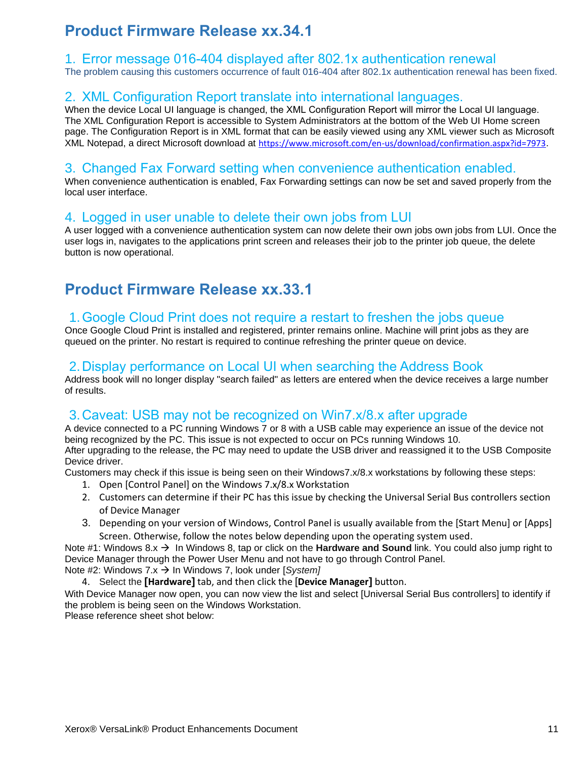# <span id="page-10-0"></span>**Product Firmware Release xx.34.1**

#### <span id="page-10-1"></span>1. Error message 016-404 displayed after 802.1x authentication renewal

<span id="page-10-2"></span>The problem causing this customers occurrence of fault 016-404 after 802.1x authentication renewal has been fixed.

#### 2. XML Configuration Report translate into international languages.

When the device Local UI language is changed, the XML Configuration Report will mirror the Local UI language.  The XML Configuration Report is accessible to System Administrators at the bottom of the Web UI Home screen page. The Configuration Report is in XML format that can be easily viewed using any XML viewer such as Microsoft XML Notepad, a direct Microsoft download at <https://www.microsoft.com/en-us/download/confirmation.aspx?id=7973>.

#### <span id="page-10-3"></span>3. Changed Fax Forward setting when convenience authentication enabled.

When convenience authentication is enabled, Fax Forwarding settings can now be set and saved properly from the local user interface.

#### <span id="page-10-4"></span>4. Logged in user unable to delete their own jobs from LUI

A user logged with a convenience authentication system can now delete their own jobs own jobs from LUI. Once the user logs in, navigates to the applications print screen and releases their job to the printer job queue, the delete button is now operational.

# <span id="page-10-5"></span>**Product Firmware Release xx.33.1**

#### <span id="page-10-6"></span>1.Google Cloud Print does not require a restart to freshen the jobs queue

Once Google Cloud Print is installed and registered, printer remains online. Machine will print jobs as they are queued on the printer. No restart is required to continue refreshing the printer queue on device.

#### <span id="page-10-7"></span>2.Display performance on Local UI when searching the Address Book

Address book will no longer display "search failed" as letters are entered when the device receives a large number of results.

#### <span id="page-10-8"></span>3.Caveat: USB may not be recognized on Win7.x/8.x after upgrade

A device connected to a PC running Windows 7 or 8 with a USB cable may experience an issue of the device not being recognized by the PC. This issue is not expected to occur on PCs running Windows 10. After upgrading to the release, the PC may need to update the USB driver and reassigned it to the USB Composite Device driver.

Customers may check if this issue is being seen on their Windows7.x/8.x workstations by following these steps:

- 1. Open [Control Panel] on the Windows 7.x/8.x Workstation
- 2. Customers can determine if their PC has this issue by checking the Universal Serial Bus controllers section of Device Manager
- 3. Depending on your version of Windows, Control Panel is usually available from the [Start Menu] or [Apps] Screen. Otherwise, follow the notes below depending upon the operating system used.

Note #1: Windows 8.x → In Windows 8, tap or click on the **Hardware and Sound** link. You could also jump right to Device Manager through the Power User Menu and not have to go through Control Panel. Note #2: Windows 7.x → In Windows 7, look under [*System]* 

4. Select the **[Hardware]** tab, and then click the [**Device Manager]** button.

With Device Manager now open, you can now view the list and select [Universal Serial Bus controllers] to identify if the problem is being seen on the Windows Workstation.

Please reference sheet shot below: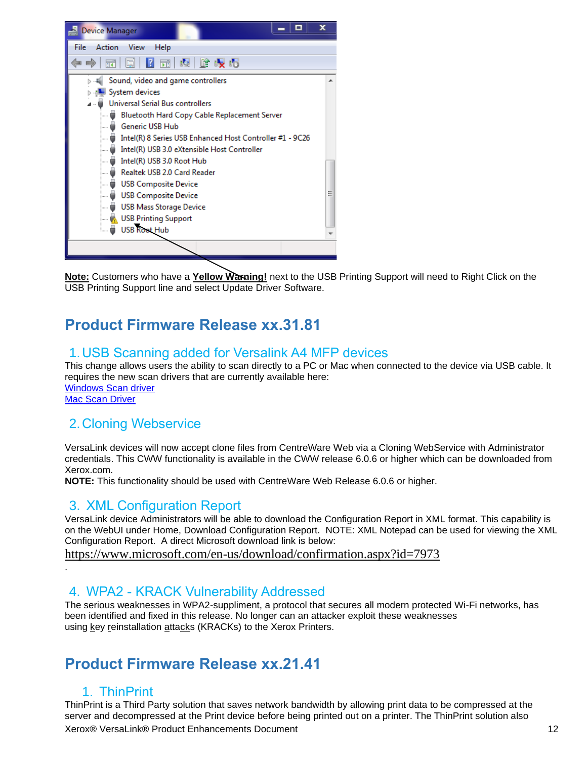

**Note:** Customers who have a **Yellow Warning!** next to the USB Printing Support will need to Right Click on the USB Printing Support line and select Update Driver Software.

# <span id="page-11-0"></span>**Product Firmware Release xx.31.81**

### <span id="page-11-1"></span>1.USB Scanning added for Versalink A4 MFP devices

This change allows users the ability to scan directly to a PC or Mac when connected to the device via USB cable. It requires the new scan drivers that are currently available here: [Windows Scan driver](http://www.support.xerox.com/support/_all-products/file-download/enus.html?contentId=141552) [Mac Scan Driver](http://www.support.xerox.com/support/_all-products/file-download/enus.html?contentId=141550)

### <span id="page-11-2"></span>2.Cloning Webservice

VersaLink devices will now accept clone files from CentreWare Web via a Cloning WebService with Administrator credentials. This CWW functionality is available in the CWW release 6.0.6 or higher which can be downloaded from Xerox.com.

<span id="page-11-3"></span>**NOTE:** This functionality should be used with CentreWare Web Release 6.0.6 or higher.

#### 3. XML Configuration Report

VersaLink device Administrators will be able to download the Configuration Report in XML format. This capability is on the WebUI under Home, Download Configuration Report. NOTE: XML Notepad can be used for viewing the XML Configuration Report. A direct Microsoft download link is below:

<https://www.microsoft.com/en-us/download/confirmation.aspx?id=7973>

#### 4. WPA2 - KRACK Vulnerability Addressed

The serious weaknesses in WPA2-suppliment, a protocol that secures all modern protected Wi-Fi networks, has been identified and fixed in this release. No longer can an attacker exploit these weaknesses using key reinstallation attacks (KRACKs) to the Xerox Printers.

# <span id="page-11-6"></span><span id="page-11-5"></span>**Product Firmware Release xx.21.41**

### 1. ThinPrint

<span id="page-11-4"></span>.

Xerox® VersaLink® Product Enhancements Document 12 ThinPrint is a Third Party solution that saves network bandwidth by allowing print data to be compressed at the server and decompressed at the Print device before being printed out on a printer. The ThinPrint solution also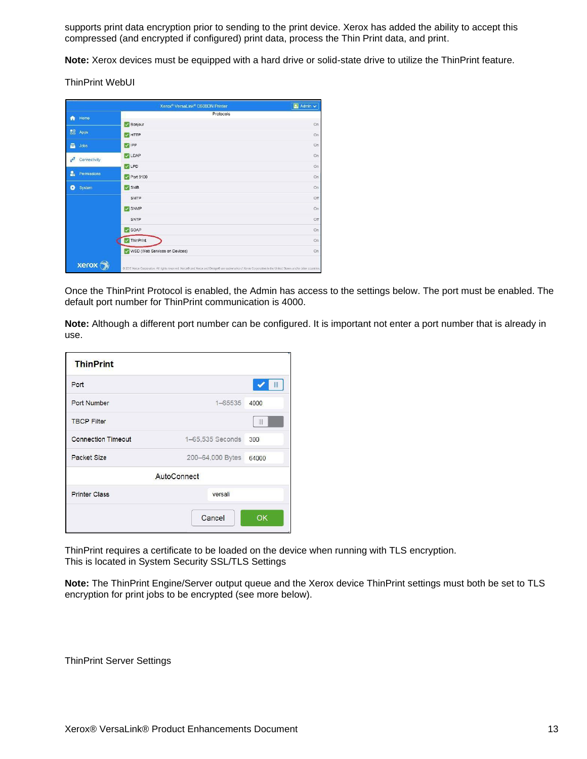supports print data encryption prior to sending to the print device. Xerox has added the ability to accept this compressed (and encrypted if configured) print data, process the Thin Print data, and print.

**Note:** Xerox devices must be equipped with a hard drive or solid-state drive to utilize the ThinPrint feature.

ThinPrint WebUI

|                            | Xerox <sup>®</sup> VersaLink <sup>®</sup> C600DN Printer                                                                                                     | $\left[\frac{1}{2n}\right]$ Admin $\vee$ |
|----------------------------|--------------------------------------------------------------------------------------------------------------------------------------------------------------|------------------------------------------|
| Home<br>₩                  | Protocols                                                                                                                                                    |                                          |
|                            | Bonjour                                                                                                                                                      | On                                       |
| 韶<br>Apps                  | V HTTP                                                                                                                                                       | On                                       |
| a<br>Jobs                  | V IPP                                                                                                                                                        | On                                       |
| $\tau^2$<br>Connectivity   | <b>V</b> LDAP                                                                                                                                                | On                                       |
|                            | V LPD                                                                                                                                                        | On                                       |
| $P_{\rm a}$<br>Permissions | Port 9100                                                                                                                                                    | On                                       |
| ٥<br>System                | $\vee$ SMB                                                                                                                                                   | On                                       |
|                            | <b>SMTP</b>                                                                                                                                                  | Off                                      |
|                            | SNMP<br>V                                                                                                                                                    | On                                       |
|                            | SNTP                                                                                                                                                         | Off                                      |
|                            | SOAP                                                                                                                                                         | On                                       |
|                            | ThinPrint                                                                                                                                                    | On                                       |
|                            | WSD (Web Services on Devices)                                                                                                                                | On                                       |
| xero)                      | @ 2017 Xerox Corporation. All rights reserved. Xerox@ and Xerox and Design@ are trademarks of Xerox Corporation in the United States and/or other countries. |                                          |

Once the ThinPrint Protocol is enabled, the Admin has access to the settings below. The port must be enabled. The default port number for ThinPrint communication is 4000.

**Note:** Although a different port number can be configured. It is important not enter a port number that is already in use.

| <b>ThinPrint</b>          |                  |              |  |  |
|---------------------------|------------------|--------------|--|--|
| Port                      |                  | Ш            |  |  |
| Port Number               | 1-65535          | 4000         |  |  |
| <b>TBCP Filter</b>        |                  | $\mathbb{I}$ |  |  |
| <b>Connection Timeout</b> | 1-65,535 Seconds | 300          |  |  |
| Packet Size               | 200-64,000 Bytes | 64000        |  |  |
| <b>AutoConnect</b>        |                  |              |  |  |
| <b>Printer Class</b>      | versali          |              |  |  |
|                           | Cancel           | OK           |  |  |

ThinPrint requires a certificate to be loaded on the device when running with TLS encryption. This is located in System Security SSL/TLS Settings

**Note:** The ThinPrint Engine/Server output queue and the Xerox device ThinPrint settings must both be set to TLS encryption for print jobs to be encrypted (see more below).

ThinPrint Server Settings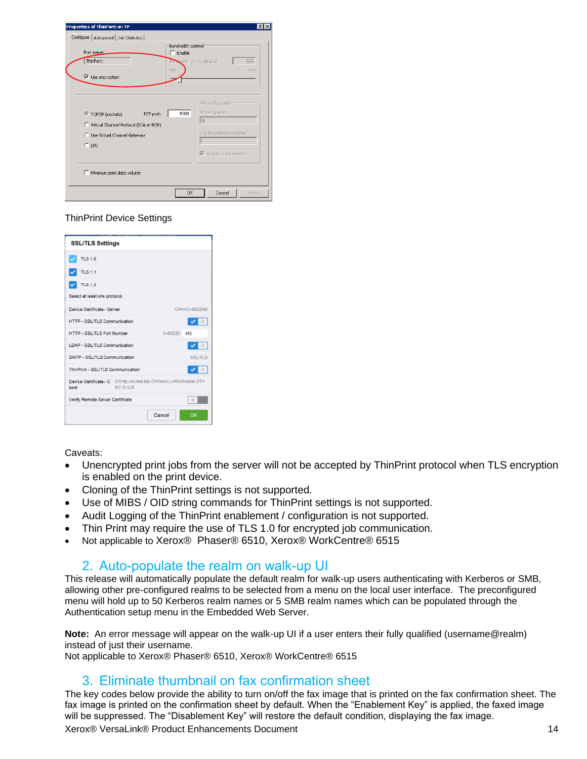| Properties of ThinPort: on TP<br>Configure   Advanced   Job Statistics                                                 | 7x                                                                                                                                               |  |  |
|------------------------------------------------------------------------------------------------------------------------|--------------------------------------------------------------------------------------------------------------------------------------------------|--|--|
| Port name:<br>ThinPort:<br>$\overline{\mathsf{v}}$ Use encryption                                                      | Bandwidth control<br>$\Box$ Enable<br>826<br>Barnwidth (kbit/s (kbps)):<br>min<br>max.                                                           |  |  |
| TCP port:<br>C TCP/IP (sockets)<br>C Virtual Channel Protocol (ICA or RDP)<br>C Use Virtual Channel Gateway<br>$C$ LPD | -LPD configuration<br>Printer queue:<br>4000<br>$\vert \vert_{p}$<br>LPD decompression filter:<br>$\overline{\triangledown}$ No data compression |  |  |
| Minimum print data volume                                                                                              |                                                                                                                                                  |  |  |
|                                                                                                                        | Cancel<br><b>OK</b><br>Apply                                                                                                                     |  |  |

#### ThinPrint Device Settings

| <b>SSL/TLS Settings</b>                                                              |                |
|--------------------------------------------------------------------------------------|----------------|
| <b>TLS 1.0</b>                                                                       |                |
| <b>TLS 1.1</b>                                                                       |                |
| <b>TLS 1.2</b>                                                                       |                |
| Select at least one protocol.                                                        |                |
| Device Certificate - Server                                                          | CN=XC-60EB8B   |
| HTTP - SSL/TLS Communication                                                         | Ш              |
| HTTP - SSL/TLS Port Number                                                           | 1-65535 443    |
| LDAP - SSL/TLS Communication                                                         | $\mathbf{H}$   |
| SMTP - SSL/TLS Communication                                                         | <b>SSL/TLS</b> |
| ThinPrint - SSL/TLS Communication                                                    | $\mathbf{H}$   |
| Device Certificate - C CN=tp.cactest.lab.O=Xerox.L=Rochester.ST=<br>NY.C=US<br>lient |                |
| Verify Remote Server Certificate                                                     | 10             |
| Cancel                                                                               | OK             |

Caveats:

- Unencrypted print jobs from the server will not be accepted by ThinPrint protocol when TLS encryption is enabled on the print device.
- Cloning of the ThinPrint settings is not supported.
- Use of MIBS / OID string commands for ThinPrint settings is not supported.
- Audit Logging of the ThinPrint enablement / configuration is not supported.
- Thin Print may require the use of TLS 1.0 for encrypted job communication.
- <span id="page-13-0"></span>• Not applicable to Xerox® Phaser® 6510, Xerox® WorkCentre® 6515

#### 2. Auto-populate the realm on walk-up UI

This release will automatically populate the default realm for walk-up users authenticating with Kerberos or SMB, allowing other pre-configured realms to be selected from a menu on the local user interface. The preconfigured menu will hold up to 50 Kerberos realm names or 5 SMB realm names which can be populated through the Authentication setup menu in the Embedded Web Server.

**Note:** An error message will appear on the walk-up UI if a user enters their fully qualified (username@realm) instead of just their username.

<span id="page-13-1"></span>Not applicable to Xerox® Phaser® 6510, Xerox® WorkCentre® 6515

#### 3. Eliminate thumbnail on fax confirmation sheet

Xerox® VersaLink® Product Enhancements Document 14 The key codes below provide the ability to turn on/off the fax image that is printed on the fax confirmation sheet. The fax image is printed on the confirmation sheet by default. When the "Enablement Key" is applied, the faxed image will be suppressed. The "Disablement Key" will restore the default condition, displaying the fax image.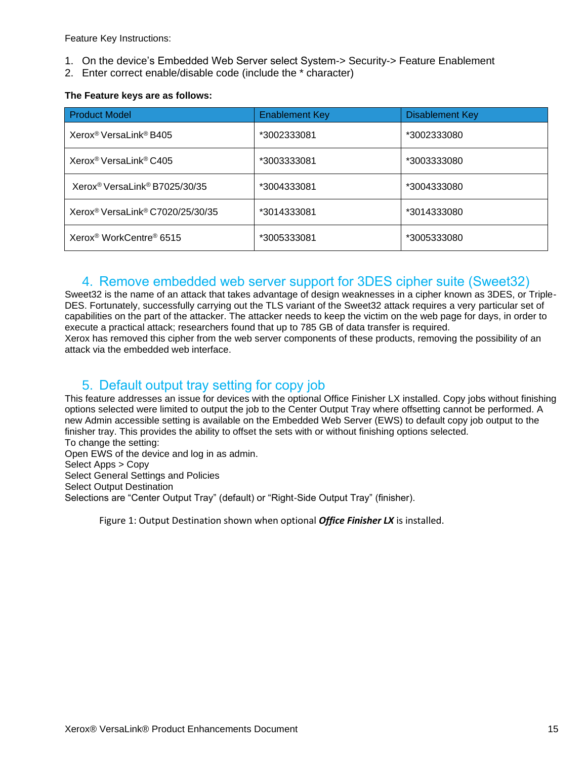Feature Key Instructions:

- 1. On the device's Embedded Web Server select System-> Security-> Feature Enablement
- 2. Enter correct enable/disable code (include the \* character)

#### **The Feature keys are as follows:**

| <b>Product Model</b>                                     | <b>Enablement Key</b> | <b>Disablement Key</b> |
|----------------------------------------------------------|-----------------------|------------------------|
| Xerox <sup>®</sup> VersaLink® B405                       | *3002333081           | *3002333080            |
| Xerox <sup>®</sup> VersaLink <sup>®</sup> C405           | *3003333081           | *3003333080            |
| Xerox <sup>®</sup> VersaLink <sup>®</sup> B7025/30/35    | *3004333081           | *3004333080            |
| Xerox <sup>®</sup> VersaLink <sup>®</sup> C7020/25/30/35 | *3014333081           | *3014333080            |
| Xerox <sup>®</sup> WorkCentre® 6515                      | *3005333081           | *3005333080            |

#### <span id="page-14-0"></span>4. Remove embedded web server support for 3DES cipher suite (Sweet32)

Sweet32 is the name of an attack that takes advantage of design weaknesses in a cipher known as 3DES, or Triple-DES. Fortunately, successfully carrying out the TLS variant of the Sweet32 attack requires a very particular set of capabilities on the part of the attacker. The attacker needs to keep the victim on the web page for days, in order to execute a practical attack; researchers found that up to 785 GB of data transfer is required. Xerox has removed this cipher from the web server components of these products, removing the possibility of an attack via the embedded web interface.

### <span id="page-14-1"></span>5. Default output tray setting for copy job

This feature addresses an issue for devices with the optional Office Finisher LX installed. Copy jobs without finishing options selected were limited to output the job to the Center Output Tray where offsetting cannot be performed. A new Admin accessible setting is available on the Embedded Web Server (EWS) to default copy job output to the finisher tray. This provides the ability to offset the sets with or without finishing options selected. To change the setting: Open EWS of the device and log in as admin. Select Apps > Copy Select General Settings and Policies

Select Output Destination

Selections are "Center Output Tray" (default) or "Right-Side Output Tray" (finisher).

Figure 1: Output Destination shown when optional *Office Finisher LX* is installed.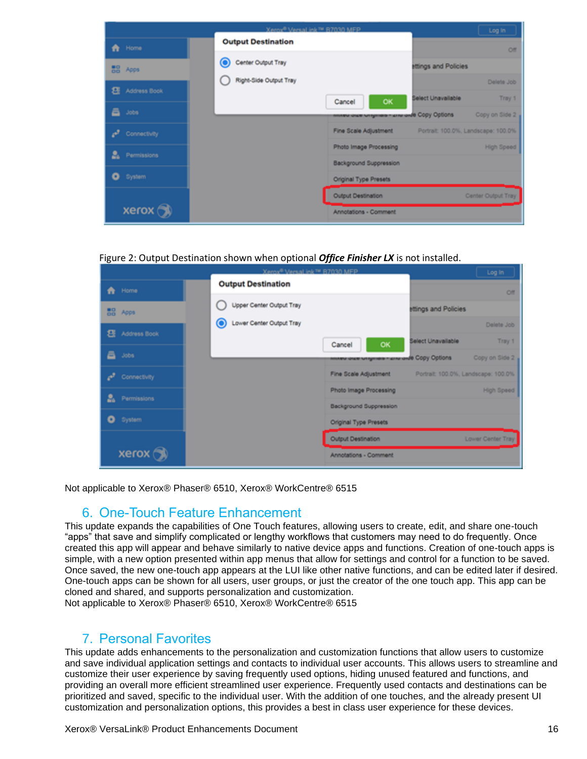|                        |                           | Xerox® Versal ink™ R7030 MFP                                      | Log In                              |
|------------------------|---------------------------|-------------------------------------------------------------------|-------------------------------------|
| <b>A</b> Home          | <b>Output Destination</b> |                                                                   | Off                                 |
| <b>BB</b> Apps         | О<br>Center Output Tray   | <b>Httings and Policies</b>                                       |                                     |
| <b>EE</b> Address Book | Right-Side Output Tray    | Select Unavailable                                                | Delete Job<br>Tray 1                |
| a Jobs                 |                           | <b>OK</b><br>Cancel<br>мелем инке млуника - книгинде Сору Options | Copy on Side 2                      |
| Connectivity           |                           | Fine Scale Adjustment                                             | Portrait: 100.0%, Landscape: 100.0% |
| a.<br>Permissions      |                           | Photo Image Processing                                            | High Speed                          |
| System<br>o            |                           | <b>Background Suppression</b><br>Original Type Presets            |                                     |
|                        |                           | Output Destination                                                | Center Output Tray                  |
| xerox                  |                           | Annotations - Comment                                             |                                     |

#### Figure 2: Output Destination shown when optional *Office Finisher LX* is not installed.

|                    | Xerox® Versal ink™ R7030 MFP |                                                                  |                      | Log In                              |
|--------------------|------------------------------|------------------------------------------------------------------|----------------------|-------------------------------------|
| <b>A</b> Home      | <b>Output Destination</b>    |                                                                  |                      | Off                                 |
| <b>BB</b> Apps     | Upper Center Output Tray     |                                                                  | ttlings and Policies |                                     |
| ε<br>Address Book  | C Lower Center Output Tray   |                                                                  | Select Unavailable   | Delete Job<br>Tray 1                |
| ā<br>Jobs          |                              | <b>OK</b><br>Cancel<br>милем инке млушага - ины инй Сору Options |                      | Copy on Side 2                      |
| في<br>Connectivity |                              | Fine Scale Adjustment                                            |                      | Portrait: 100.0%, Landscape: 100.0% |
| a.<br>Permissions  |                              | Photo Image Processing                                           |                      | High Speed                          |
| System<br>o        |                              | <b>Background Suppression</b><br>Original Type Presets           |                      |                                     |
|                    |                              | Output Destination                                               |                      | Lower Center Tray                   |
| xerox (            |                              | Annotations - Comment                                            |                      |                                     |

<span id="page-15-0"></span>Not applicable to Xerox® Phaser® 6510, Xerox® WorkCentre® 6515

#### 6. One-Touch Feature Enhancement

This update expands the capabilities of One Touch features, allowing users to create, edit, and share one-touch "apps" that save and simplify complicated or lengthy workflows that customers may need to do frequently. Once created this app will appear and behave similarly to native device apps and functions. Creation of one-touch apps is simple, with a new option presented within app menus that allow for settings and control for a function to be saved. Once saved, the new one-touch app appears at the LUI like other native functions, and can be edited later if desired. One-touch apps can be shown for all users, user groups, or just the creator of the one touch app. This app can be cloned and shared, and supports personalization and customization.

<span id="page-15-1"></span>Not applicable to Xerox® Phaser® 6510, Xerox® WorkCentre® 6515

#### 7. Personal Favorites

This update adds enhancements to the personalization and customization functions that allow users to customize and save individual application settings and contacts to individual user accounts. This allows users to streamline and customize their user experience by saving frequently used options, hiding unused featured and functions, and providing an overall more efficient streamlined user experience. Frequently used contacts and destinations can be prioritized and saved, specific to the individual user. With the addition of one touches, and the already present UI customization and personalization options, this provides a best in class user experience for these devices.